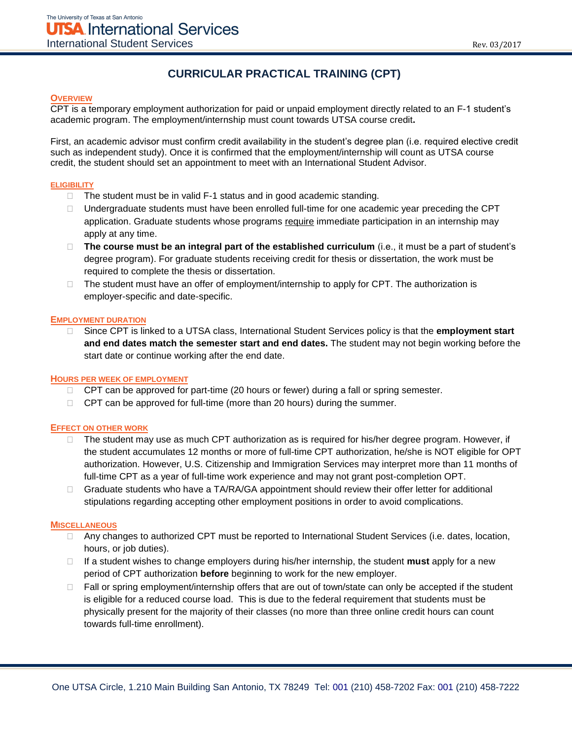# **CURRICULAR PRACTICAL TRAINING (CPT)**

## **OVERVIEW**

CPT is a temporary employment authorization for paid or unpaid employment directly related to an F-1 student's academic program. The employment/internship must count towards UTSA course credit**.** 

First, an academic advisor must confirm credit availability in the student's degree plan (i.e. required elective credit such as independent study). Once it is confirmed that the employment/internship will count as UTSA course credit, the student should set an appointment to meet with an International Student Advisor.

#### **ELIGIBILITY**

- $\Box$  The student must be in valid F-1 status and in good academic standing.
- $\Box$  Undergraduate students must have been enrolled full-time for one academic year preceding the CPT application. Graduate students whose programs require immediate participation in an internship may apply at any time.
- □ The course must be an integral part of the established curriculum (i.e., it must be a part of student's degree program). For graduate students receiving credit for thesis or dissertation, the work must be required to complete the thesis or dissertation.
- $\Box$  The student must have an offer of employment/internship to apply for CPT. The authorization is employer-specific and date-specific.

#### **EMPLOYMENT DURATION**

 Since CPT is linked to a UTSA class, International Student Services policy is that the **employment start and end dates match the semester start and end dates.** The student may not begin working before the start date or continue working after the end date.

## **HOURS PER WEEK OF EMPLOYMENT**

- $\Box$  CPT can be approved for part-time (20 hours or fewer) during a fall or spring semester.
- $\Box$  CPT can be approved for full-time (more than 20 hours) during the summer.

## **EFFECT ON OTHER WORK**

- $\Box$  The student may use as much CPT authorization as is required for his/her degree program. However, if the student accumulates 12 months or more of full-time CPT authorization, he/she is NOT eligible for OPT authorization. However, U.S. Citizenship and Immigration Services may interpret more than 11 months of full-time CPT as a year of full-time work experience and may not grant post-completion OPT.
- $\Box$  Graduate students who have a TA/RA/GA appointment should review their offer letter for additional stipulations regarding accepting other employment positions in order to avoid complications.

#### **MISCELLANEOUS**

- □ Any changes to authorized CPT must be reported to International Student Services (i.e. dates, location, hours, or job duties).
- $\Box$  If a student wishes to change employers during his/her internship, the student **must** apply for a new period of CPT authorization **before** beginning to work for the new employer.
- $\Box$  Fall or spring employment/internship offers that are out of town/state can only be accepted if the student is eligible for a reduced course load. This is due to the federal requirement that students must be physically present for the majority of their classes (no more than three online credit hours can count towards full-time enrollment).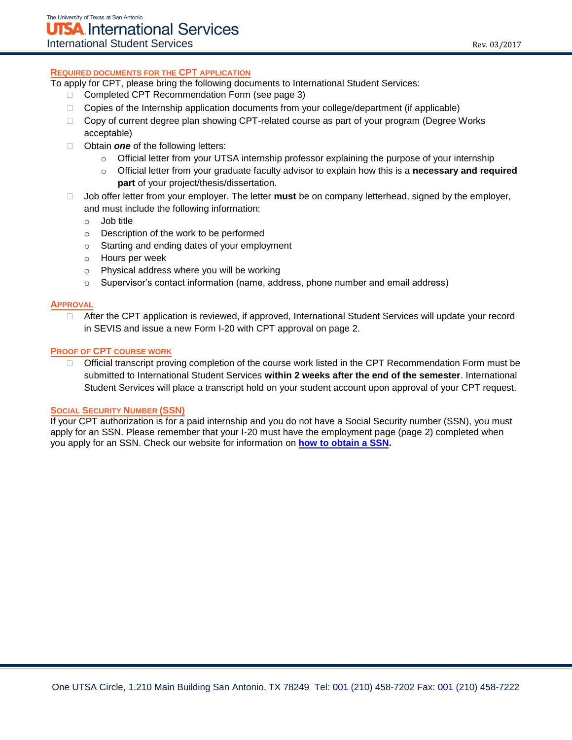To apply for CPT, please bring the following documents to International Student Services:

- □ Completed CPT Recommendation Form (see page 3)
- □ Copies of the Internship application documents from your college/department (if applicable)
- $\Box$  Copy of current degree plan showing CPT-related course as part of your program (Degree Works acceptable)
- □ Obtain **one** of the following letters:
	- o Official letter from your UTSA internship professor explaining the purpose of your internship
	- o Official letter from your graduate faculty advisor to explain how this is a **necessary and required part** of your project/thesis/dissertation.
- Job offer letter from your employer. The letter **must** be on company letterhead, signed by the employer, and must include the following information:
	- o Job title
	- o Description of the work to be performed
	- o Starting and ending dates of your employment
	- o Hours per week
	- o Physical address where you will be working
	- $\circ$  Supervisor's contact information (name, address, phone number and email address)

# **APPROVAL**

□ After the CPT application is reviewed, if approved, International Student Services will update your record in SEVIS and issue a new Form I-20 with CPT approval on page 2.

# **PROOF OF CPT COURSE WORK**

□ Official transcript proving completion of the course work listed in the CPT Recommendation Form must be submitted to International Student Services **within 2 weeks after the end of the semester**. International Student Services will place a transcript hold on your student account upon approval of your CPT request.

# **SOCIAL SECURITY NUMBER (SSN)**

If your CPT authorization is for a paid internship and you do not have a Social Security number (SSN), you must apply for an SSN. Please remember that your I-20 must have the employment page (page 2) completed when you apply for an SSN. Check our website for information on **[how to obtain a SSN.](http://international.utsa.edu/living-in-san-antonio/social-security-number/)**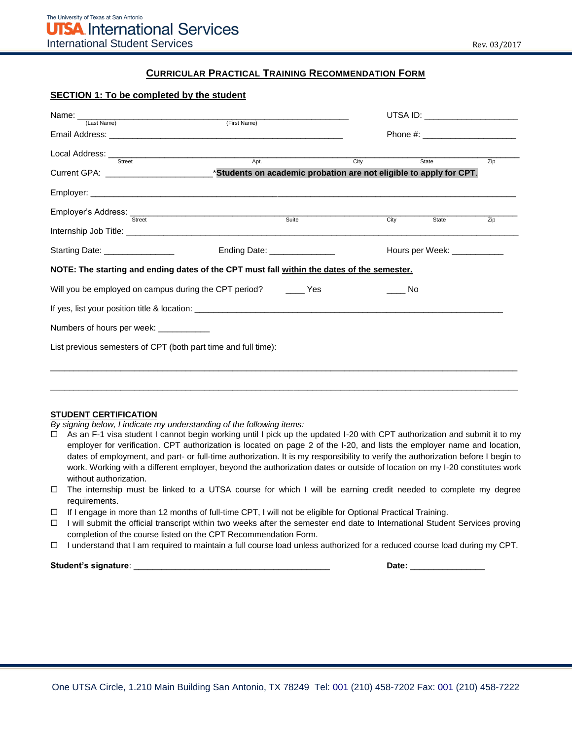# **CURRICULAR PRACTICAL TRAINING RECOMMENDATION FORM**

|                                                                | UTSA ID: _______________________                                                           |      |                               |       |     |
|----------------------------------------------------------------|--------------------------------------------------------------------------------------------|------|-------------------------------|-------|-----|
| (Last Name)                                                    |                                                                                            |      |                               |       |     |
| Street                                                         | Apt.                                                                                       | City |                               | State | Zip |
|                                                                |                                                                                            |      |                               |       |     |
|                                                                |                                                                                            |      |                               |       |     |
| Employer's Address: Street                                     | Suite                                                                                      |      | City                          | State | Zip |
|                                                                |                                                                                            |      |                               |       |     |
| Starting Date: ________________                                | Ending Date: ______________                                                                |      | Hours per Week: _____________ |       |     |
|                                                                | NOTE: The starting and ending dates of the CPT must fall within the dates of the semester. |      |                               |       |     |
|                                                                | Will you be employed on campus during the CPT period? ________ Yes                         |      | No                            |       |     |
|                                                                |                                                                                            |      |                               |       |     |
| Numbers of hours per week: _____________                       |                                                                                            |      |                               |       |     |
| List previous semesters of CPT (both part time and full time): |                                                                                            |      |                               |       |     |
|                                                                |                                                                                            |      |                               |       |     |
|                                                                |                                                                                            |      |                               |       |     |

#### **STUDENT CERTIFICATION**

*By signing below, I indicate my understanding of the following items:* 

 $\Box$  As an F-1 visa student I cannot begin working until I pick up the updated I-20 with CPT authorization and submit it to my employer for verification. CPT authorization is located on page 2 of the I-20, and lists the employer name and location, dates of employment, and part- or full-time authorization. It is my responsibility to verify the authorization before I begin to work. Working with a different employer, beyond the authorization dates or outside of location on my I-20 constitutes work without authorization.

\_\_\_\_\_\_\_\_\_\_\_\_\_\_\_\_\_\_\_\_\_\_\_\_\_\_\_\_\_\_\_\_\_\_\_\_\_\_\_\_\_\_\_\_\_\_\_\_\_\_\_\_\_\_\_\_\_\_\_\_\_\_\_\_\_\_\_\_\_\_\_\_\_\_\_\_\_\_\_\_\_\_\_\_\_\_\_\_\_\_\_\_\_\_\_\_\_\_\_\_

- $\Box$  The internship must be linked to a UTSA course for which I will be earning credit needed to complete my degree requirements.
- If I engage in more than 12 months of full-time CPT, I will not be eligible for Optional Practical Training.
- $\Box$  I will submit the official transcript within two weeks after the semester end date to International Student Services proving completion of the course listed on the CPT Recommendation Form.
- $\Box$  I understand that I am required to maintain a full course load unless authorized for a reduced course load during my CPT.

**Student's signature**: \_\_\_\_\_\_\_\_\_\_\_\_\_\_\_\_\_\_\_\_\_\_\_\_\_\_\_\_\_\_\_\_\_\_\_\_\_\_\_\_\_\_ **Date:** \_\_\_\_\_\_\_\_\_\_\_\_\_\_\_\_